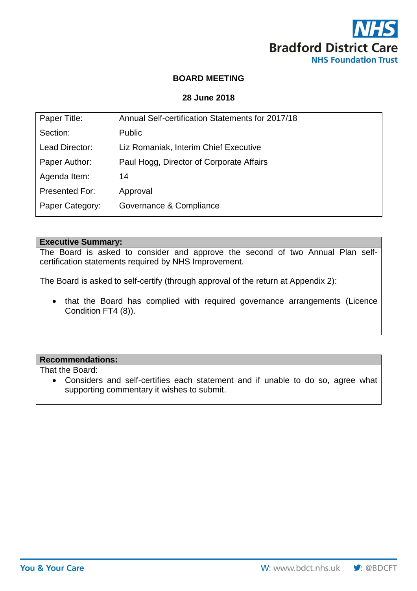

# **BOARD MEETING**

# **28 June 2018**

| Paper Title:    | Annual Self-certification Statements for 2017/18 |
|-----------------|--------------------------------------------------|
| Section:        | <b>Public</b>                                    |
| Lead Director:  | Liz Romaniak, Interim Chief Executive            |
| Paper Author:   | Paul Hogg, Director of Corporate Affairs         |
| Agenda Item:    | 14                                               |
| Presented For:  | Approval                                         |
| Paper Category: | Governance & Compliance                          |
|                 |                                                  |

# **Executive Summary:**

The Board is asked to consider and approve the second of two Annual Plan selfcertification statements required by NHS Improvement.

The Board is asked to self-certify (through approval of the return at Appendix 2):

 that the Board has complied with required governance arrangements (Licence Condition FT4 (8)).

## **Recommendations:**

That the Board:

 Considers and self-certifies each statement and if unable to do so, agree what supporting commentary it wishes to submit.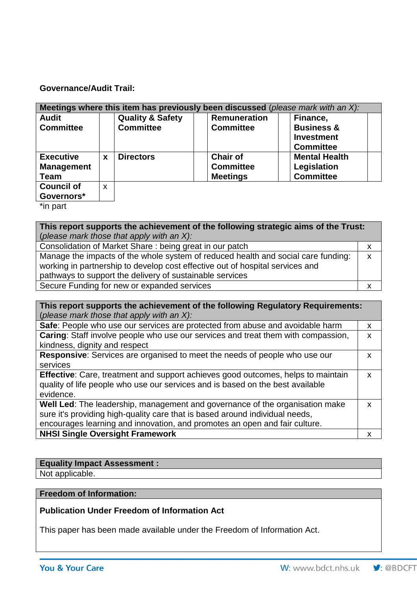## **Governance/Audit Trail:**

| Meetings where this item has previously been discussed (please mark with an $X$ ): |   |                             |                     |                       |  |  |
|------------------------------------------------------------------------------------|---|-----------------------------|---------------------|-----------------------|--|--|
| <b>Audit</b>                                                                       |   | <b>Quality &amp; Safety</b> | <b>Remuneration</b> | Finance,              |  |  |
| <b>Committee</b>                                                                   |   | <b>Committee</b>            | <b>Committee</b>    | <b>Business &amp;</b> |  |  |
|                                                                                    |   |                             |                     | Investment            |  |  |
|                                                                                    |   |                             |                     | <b>Committee</b>      |  |  |
| <b>Executive</b>                                                                   | X | <b>Directors</b>            | <b>Chair of</b>     | <b>Mental Health</b>  |  |  |
| <b>Management</b>                                                                  |   |                             | <b>Committee</b>    | Legislation           |  |  |
| <b>Team</b>                                                                        |   |                             | <b>Meetings</b>     | <b>Committee</b>      |  |  |
| <b>Council of</b>                                                                  | X |                             |                     |                       |  |  |
| Governors*                                                                         |   |                             |                     |                       |  |  |

\*in part

**This report supports the achievement of the following strategic aims of the Trust:**  (*please mark those that apply with an X):* Consolidation of Market Share : being great in our patch x Manage the impacts of the whole system of reduced health and social care funding: working in partnership to develop cost effective out of hospital services and pathways to support the delivery of sustainable services x

Secure Funding for new or expanded services x

**This report supports the achievement of the following Regulatory Requirements:**  (*please mark those that apply with an X):*

| Safe: People who use our services are protected from abuse and avoidable harm           |  |  |  |
|-----------------------------------------------------------------------------------------|--|--|--|
| Caring: Staff involve people who use our services and treat them with compassion,       |  |  |  |
| kindness, dignity and respect                                                           |  |  |  |
| <b>Responsive:</b> Services are organised to meet the needs of people who use our       |  |  |  |
| services                                                                                |  |  |  |
| <b>Effective:</b> Care, treatment and support achieves good outcomes, helps to maintain |  |  |  |
| quality of life people who use our services and is based on the best available          |  |  |  |
| evidence.                                                                               |  |  |  |
| Well Led: The leadership, management and governance of the organisation make            |  |  |  |
| sure it's providing high-quality care that is based around individual needs,            |  |  |  |
| encourages learning and innovation, and promotes an open and fair culture.              |  |  |  |

**NHSI Single Oversight Framework x**  $\begin{array}{ccc} \hline \end{array}$  **x**  $\begin{array}{ccc} \hline \end{array}$ 

| <b>Equality Impact Assessment:</b> |  |
|------------------------------------|--|
| Not applicable.                    |  |
|                                    |  |

## **Freedom of Information:**

**Publication Under Freedom of Information Act** 

This paper has been made available under the Freedom of Information Act.

 $\bigtriangledown$ : @BDCFT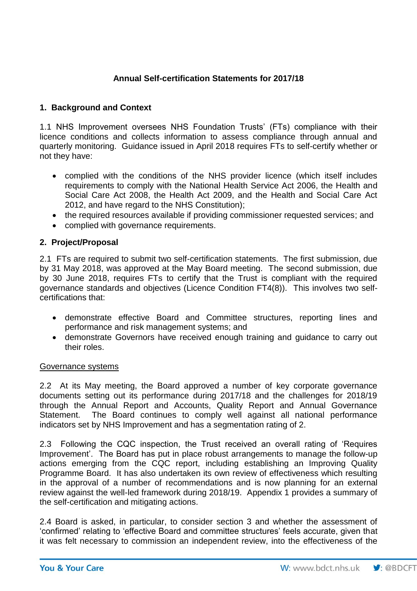# **Annual Self-certification Statements for 2017/18**

# **1. Background and Context**

1.1 NHS Improvement oversees NHS Foundation Trusts' (FTs) compliance with their licence conditions and collects information to assess compliance through annual and quarterly monitoring. Guidance issued in April 2018 requires FTs to self-certify whether or not they have:

- complied with the conditions of the NHS provider licence (which itself includes requirements to comply with the National Health Service Act 2006, the Health and Social Care Act 2008, the Health Act 2009, and the Health and Social Care Act 2012, and have regard to the NHS Constitution);
- the required resources available if providing commissioner requested services; and
- complied with governance requirements.

# **2. Project/Proposal**

2.1 FTs are required to submit two self-certification statements. The first submission, due by 31 May 2018, was approved at the May Board meeting. The second submission, due by 30 June 2018, requires FTs to certify that the Trust is compliant with the required governance standards and objectives (Licence Condition FT4(8)). This involves two selfcertifications that:

- demonstrate effective Board and Committee structures, reporting lines and performance and risk management systems; and
- demonstrate Governors have received enough training and guidance to carry out their roles.

#### Governance systems

2.2 At its May meeting, the Board approved a number of key corporate governance documents setting out its performance during 2017/18 and the challenges for 2018/19 through the Annual Report and Accounts, Quality Report and Annual Governance Statement. The Board continues to comply well against all national performance indicators set by NHS Improvement and has a segmentation rating of 2.

2.3 Following the CQC inspection, the Trust received an overall rating of 'Requires Improvement'. The Board has put in place robust arrangements to manage the follow-up actions emerging from the CQC report, including establishing an Improving Quality Programme Board. It has also undertaken its own review of effectiveness which resulting in the approval of a number of recommendations and is now planning for an external review against the well-led framework during 2018/19. Appendix 1 provides a summary of the self-certification and mitigating actions.

2.4 Board is asked, in particular, to consider section 3 and whether the assessment of 'confirmed' relating to 'effective Board and committee structures' feels accurate, given that it was felt necessary to commission an independent review, into the effectiveness of the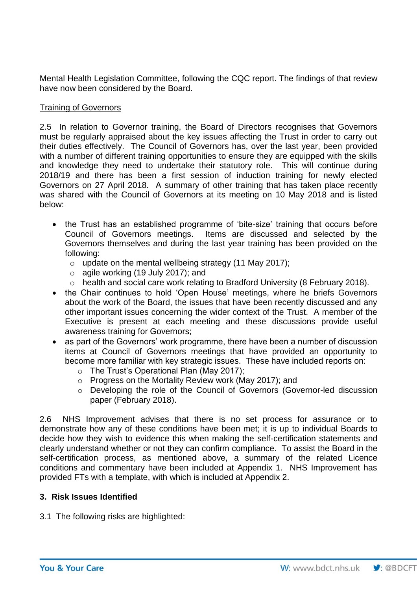Mental Health Legislation Committee, following the CQC report. The findings of that review have now been considered by the Board.

## Training of Governors

2.5 In relation to Governor training, the Board of Directors recognises that Governors must be regularly appraised about the key issues affecting the Trust in order to carry out their duties effectively. The Council of Governors has, over the last year, been provided with a number of different training opportunities to ensure they are equipped with the skills and knowledge they need to undertake their statutory role. This will continue during 2018/19 and there has been a first session of induction training for newly elected Governors on 27 April 2018. A summary of other training that has taken place recently was shared with the Council of Governors at its meeting on 10 May 2018 and is listed below:

- the Trust has an established programme of 'bite-size' training that occurs before Council of Governors meetings. Items are discussed and selected by the Governors themselves and during the last year training has been provided on the following:
	- $\circ$  update on the mental wellbeing strategy (11 May 2017);
	- $\circ$  agile working (19 July 2017); and
	- o health and social care work relating to Bradford University (8 February 2018).
- the Chair continues to hold 'Open House' meetings, where he briefs Governors about the work of the Board, the issues that have been recently discussed and any other important issues concerning the wider context of the Trust. A member of the Executive is present at each meeting and these discussions provide useful awareness training for Governors;
- as part of the Governors' work programme, there have been a number of discussion items at Council of Governors meetings that have provided an opportunity to become more familiar with key strategic issues. These have included reports on:
	- o The Trust's Operational Plan (May 2017);
	- o Progress on the Mortality Review work (May 2017); and
	- o Developing the role of the Council of Governors (Governor-led discussion paper (February 2018).

2.6 NHS Improvement advises that there is no set process for assurance or to demonstrate how any of these conditions have been met; it is up to individual Boards to decide how they wish to evidence this when making the self-certification statements and clearly understand whether or not they can confirm compliance. To assist the Board in the self-certification process, as mentioned above, a summary of the related Licence conditions and commentary have been included at Appendix 1. NHS Improvement has provided FTs with a template, with which is included at Appendix 2.

## **3. Risk Issues Identified**

3.1 The following risks are highlighted: